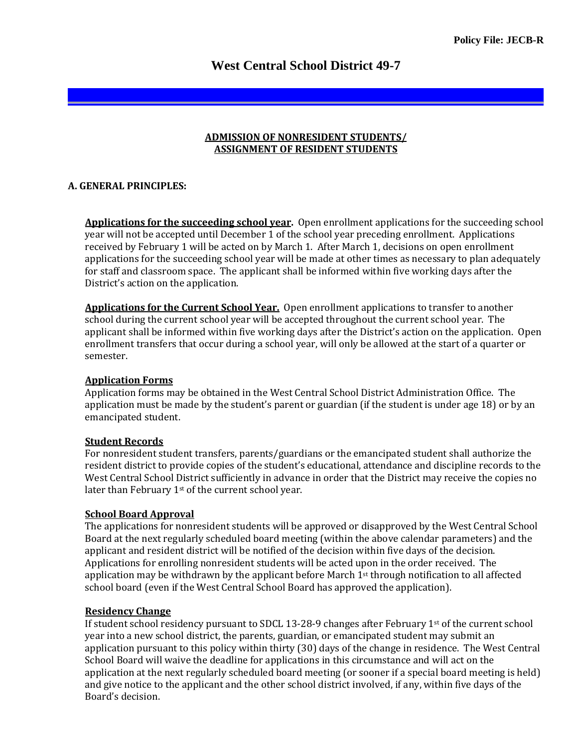# **West Central School District 49-7**

#### **ADMISSION OF NONRESIDENT STUDENTS/ ASSIGNMENT OF RESIDENT STUDENTS**

## **A. GENERAL PRINCIPLES:**

**Applications for the succeeding school year.** Open enrollment applications for the succeeding school year will not be accepted until December 1 of the school year preceding enrollment. Applications received by February 1 will be acted on by March 1. After March 1, decisions on open enrollment applications for the succeeding school year will be made at other times as necessary to plan adequately for staff and classroom space. The applicant shall be informed within five working days after the District's action on the application.

**Applications for the Current School Year.** Open enrollment applications to transfer to another school during the current school year will be accepted throughout the current school year. The applicant shall be informed within five working days after the District's action on the application. Open enrollment transfers that occur during a school year, will only be allowed at the start of a quarter or semester.

## **Application Forms**

Application forms may be obtained in the West Central School District Administration Office. The application must be made by the student's parent or guardian (if the student is under age 18) or by an emancipated student.

# **Student Records**

For nonresident student transfers, parents/guardians or the emancipated student shall authorize the resident district to provide copies of the student's educational, attendance and discipline records to the West Central School District sufficiently in advance in order that the District may receive the copies no later than February 1<sup>st</sup> of the current school year.

## **School Board Approval**

The applications for nonresident students will be approved or disapproved by the West Central School Board at the next regularly scheduled board meeting (within the above calendar parameters) and the applicant and resident district will be notified of the decision within five days of the decision. Applications for enrolling nonresident students will be acted upon in the order received. The application may be withdrawn by the applicant before March  $1<sup>st</sup>$  through notification to all affected school board (even if the West Central School Board has approved the application).

#### **Residency Change**

If student school residency pursuant to SDCL 13-28-9 changes after February 1st of the current school year into a new school district, the parents, guardian, or emancipated student may submit an application pursuant to this policy within thirty (30) days of the change in residence. The West Central School Board will waive the deadline for applications in this circumstance and will act on the application at the next regularly scheduled board meeting (or sooner if a special board meeting is held) and give notice to the applicant and the other school district involved, if any, within five days of the Board's decision.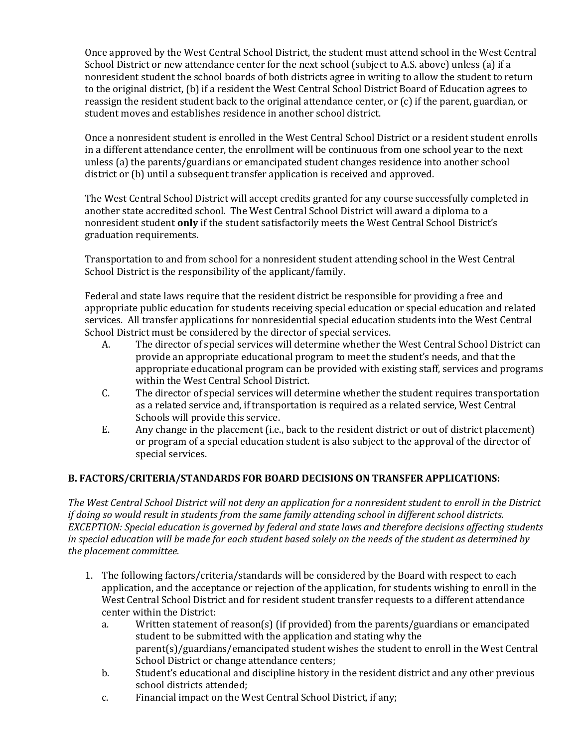Once approved by the West Central School District, the student must attend school in the West Central School District or new attendance center for the next school (subject to A.S. above) unless (a) if a nonresident student the school boards of both districts agree in writing to allow the student to return to the original district, (b) if a resident the West Central School District Board of Education agrees to reassign the resident student back to the original attendance center, or (c) if the parent, guardian, or student moves and establishes residence in another school district.

Once a nonresident student is enrolled in the West Central School District or a resident student enrolls in a different attendance center, the enrollment will be continuous from one school year to the next unless (a) the parents/guardians or emancipated student changes residence into another school district or (b) until a subsequent transfer application is received and approved.

The West Central School District will accept credits granted for any course successfully completed in another state accredited school. The West Central School District will award a diploma to a nonresident student **only** if the student satisfactorily meets the West Central School District's graduation requirements.

Transportation to and from school for a nonresident student attending school in the West Central School District is the responsibility of the applicant/family.

Federal and state laws require that the resident district be responsible for providing a free and appropriate public education for students receiving special education or special education and related services. All transfer applications for nonresidential special education students into the West Central School District must be considered by the director of special services.

- A. The director of special services will determine whether the West Central School District can provide an appropriate educational program to meet the student's needs, and that the appropriate educational program can be provided with existing staff, services and programs within the West Central School District.
- C. The director of special services will determine whether the student requires transportation as a related service and, if transportation is required as a related service, West Central Schools will provide this service.
- E. Any change in the placement (i.e., back to the resident district or out of district placement) or program of a special education student is also subject to the approval of the director of special services.

# **B. FACTORS/CRITERIA/STANDARDS FOR BOARD DECISIONS ON TRANSFER APPLICATIONS:**

*The West Central School District will not deny an application for a nonresident student to enroll in the District if doing so would result in students from the same family attending school in different school districts. EXCEPTION: Special education is governed by federal and state laws and therefore decisions affecting students in special education will be made for each student based solely on the needs of the student as determined by the placement committee.*

- 1. The following factors/criteria/standards will be considered by the Board with respect to each application, and the acceptance or rejection of the application, for students wishing to enroll in the West Central School District and for resident student transfer requests to a different attendance center within the District:
	- a. Written statement of reason(s) (if provided) from the parents/guardians or emancipated student to be submitted with the application and stating why the parent(s)/guardians/emancipated student wishes the student to enroll in the West Central School District or change attendance centers;
	- b. Student's educational and discipline history in the resident district and any other previous school districts attended;
	- c. Financial impact on the West Central School District, if any;